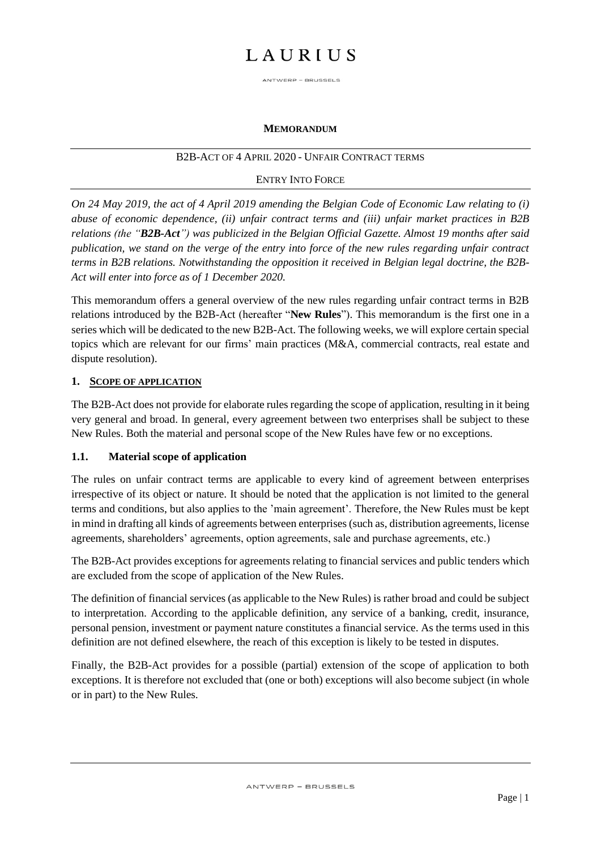ANTWERP - BRUSSELS

#### **MEMORANDUM**

#### B2B-ACT OF 4 APRIL 2020 - UNFAIR CONTRACT TERMS

#### ENTRY INTO FORCE

*On 24 May 2019, the act of 4 April 2019 amending the Belgian Code of Economic Law relating to (i) abuse of economic dependence, (ii) unfair contract terms and (iii) unfair market practices in B2B relations (the "B2B-Act") was publicized in the Belgian Official Gazette. Almost 19 months after said publication, we stand on the verge of the entry into force of the new rules regarding unfair contract terms in B2B relations. Notwithstanding the opposition it received in Belgian legal doctrine, the B2B-Act will enter into force as of 1 December 2020.* 

This memorandum offers a general overview of the new rules regarding unfair contract terms in B2B relations introduced by the B2B-Act (hereafter "**New Rules**"). This memorandum is the first one in a series which will be dedicated to the new B2B-Act. The following weeks, we will explore certain special topics which are relevant for our firms' main practices (M&A, commercial contracts, real estate and dispute resolution).

#### **1. SCOPE OF APPLICATION**

The B2B-Act does not provide for elaborate rules regarding the scope of application, resulting in it being very general and broad. In general, every agreement between two enterprises shall be subject to these New Rules. Both the material and personal scope of the New Rules have few or no exceptions.

#### **1.1. Material scope of application**

The rules on unfair contract terms are applicable to every kind of agreement between enterprises irrespective of its object or nature. It should be noted that the application is not limited to the general terms and conditions, but also applies to the 'main agreement'. Therefore, the New Rules must be kept in mind in drafting all kinds of agreements between enterprises (such as, distribution agreements, license agreements, shareholders' agreements, option agreements, sale and purchase agreements, etc.)

The B2B-Act provides exceptions for agreements relating to financial services and public tenders which are excluded from the scope of application of the New Rules.

The definition of financial services (as applicable to the New Rules) is rather broad and could be subject to interpretation. According to the applicable definition, any service of a banking, credit, insurance, personal pension, investment or payment nature constitutes a financial service. As the terms used in this definition are not defined elsewhere, the reach of this exception is likely to be tested in disputes.

Finally, the B2B-Act provides for a possible (partial) extension of the scope of application to both exceptions. It is therefore not excluded that (one or both) exceptions will also become subject (in whole or in part) to the New Rules.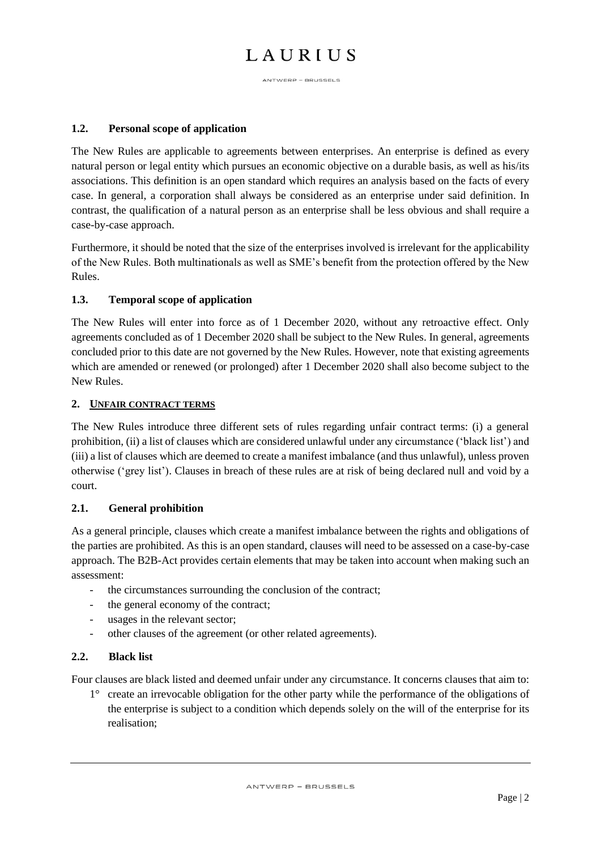ANTWERP - BRUSSELS

### **1.2. Personal scope of application**

The New Rules are applicable to agreements between enterprises. An enterprise is defined as every natural person or legal entity which pursues an economic objective on a durable basis, as well as his/its associations. This definition is an open standard which requires an analysis based on the facts of every case. In general, a corporation shall always be considered as an enterprise under said definition. In contrast, the qualification of a natural person as an enterprise shall be less obvious and shall require a case-by-case approach.

Furthermore, it should be noted that the size of the enterprises involved is irrelevant for the applicability of the New Rules. Both multinationals as well as SME's benefit from the protection offered by the New Rules.

## **1.3. Temporal scope of application**

The New Rules will enter into force as of 1 December 2020, without any retroactive effect. Only agreements concluded as of 1 December 2020 shall be subject to the New Rules. In general, agreements concluded prior to this date are not governed by the New Rules. However, note that existing agreements which are amended or renewed (or prolonged) after 1 December 2020 shall also become subject to the New Rules.

### **2. UNFAIR CONTRACT TERMS**

The New Rules introduce three different sets of rules regarding unfair contract terms: (i) a general prohibition, (ii) a list of clauses which are considered unlawful under any circumstance ('black list') and (iii) a list of clauses which are deemed to create a manifest imbalance (and thus unlawful), unless proven otherwise ('grey list'). Clauses in breach of these rules are at risk of being declared null and void by a court.

### **2.1. General prohibition**

As a general principle, clauses which create a manifest imbalance between the rights and obligations of the parties are prohibited. As this is an open standard, clauses will need to be assessed on a case-by-case approach. The B2B-Act provides certain elements that may be taken into account when making such an assessment:

- the circumstances surrounding the conclusion of the contract;
- the general economy of the contract;
- usages in the relevant sector;
- other clauses of the agreement (or other related agreements).

### **2.2. Black list**

Four clauses are black listed and deemed unfair under any circumstance. It concerns clauses that aim to:

1° create an irrevocable obligation for the other party while the performance of the obligations of the enterprise is subject to a condition which depends solely on the will of the enterprise for its realisation;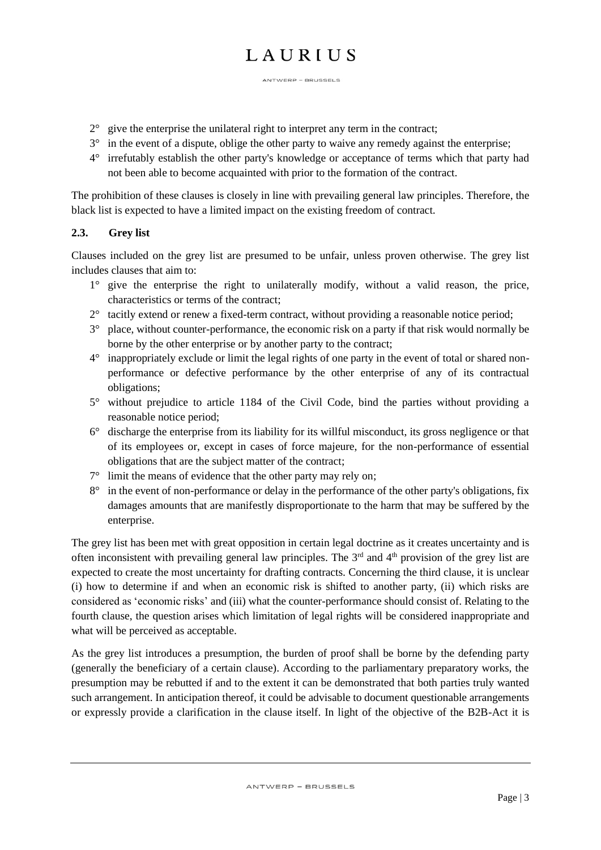ANTWERP - BRUSSELS

- $2^{\circ}$  give the enterprise the unilateral right to interpret any term in the contract;
- 3° in the event of a dispute, oblige the other party to waive any remedy against the enterprise;
- 4° irrefutably establish the other party's knowledge or acceptance of terms which that party had not been able to become acquainted with prior to the formation of the contract.

The prohibition of these clauses is closely in line with prevailing general law principles. Therefore, the black list is expected to have a limited impact on the existing freedom of contract.

## **2.3. Grey list**

Clauses included on the grey list are presumed to be unfair, unless proven otherwise. The grey list includes clauses that aim to:

- $1^\circ$  give the enterprise the right to unilaterally modify, without a valid reason, the price, characteristics or terms of the contract;
- 2° tacitly extend or renew a fixed-term contract, without providing a reasonable notice period;
- 3° place, without counter-performance, the economic risk on a party if that risk would normally be borne by the other enterprise or by another party to the contract;
- 4° inappropriately exclude or limit the legal rights of one party in the event of total or shared nonperformance or defective performance by the other enterprise of any of its contractual obligations;
- 5° without prejudice to article 1184 of the Civil Code, bind the parties without providing a reasonable notice period;
- 6° discharge the enterprise from its liability for its willful misconduct, its gross negligence or that of its employees or, except in cases of force majeure, for the non-performance of essential obligations that are the subject matter of the contract;
- 7° limit the means of evidence that the other party may rely on;
- 8° in the event of non-performance or delay in the performance of the other party's obligations, fix damages amounts that are manifestly disproportionate to the harm that may be suffered by the enterprise.

The grey list has been met with great opposition in certain legal doctrine as it creates uncertainty and is often inconsistent with prevailing general law principles. The  $3<sup>rd</sup>$  and  $4<sup>th</sup>$  provision of the grey list are expected to create the most uncertainty for drafting contracts. Concerning the third clause, it is unclear (i) how to determine if and when an economic risk is shifted to another party, (ii) which risks are considered as 'economic risks' and (iii) what the counter-performance should consist of. Relating to the fourth clause, the question arises which limitation of legal rights will be considered inappropriate and what will be perceived as acceptable.

As the grey list introduces a presumption, the burden of proof shall be borne by the defending party (generally the beneficiary of a certain clause). According to the parliamentary preparatory works, the presumption may be rebutted if and to the extent it can be demonstrated that both parties truly wanted such arrangement. In anticipation thereof, it could be advisable to document questionable arrangements or expressly provide a clarification in the clause itself. In light of the objective of the B2B-Act it is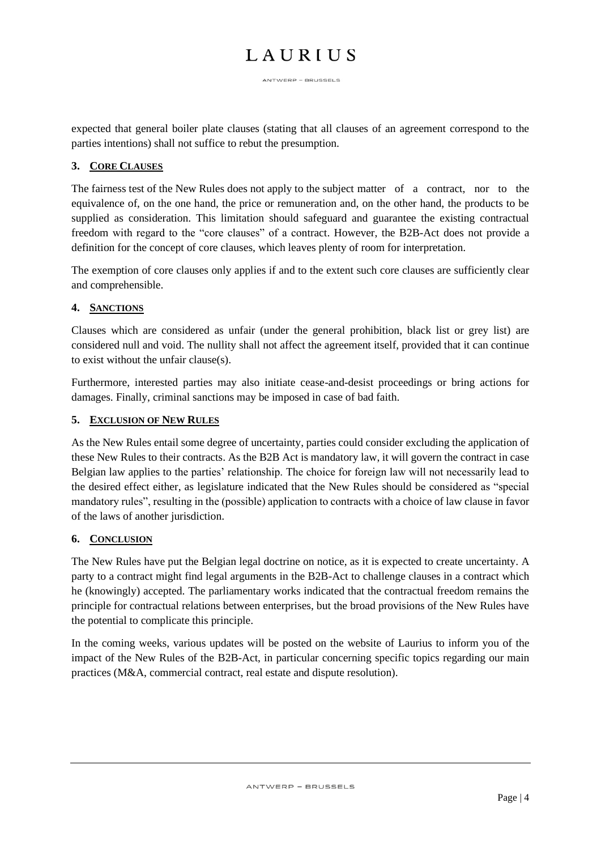ANTWERP - BRUSSELS

expected that general boiler plate clauses (stating that all clauses of an agreement correspond to the parties intentions) shall not suffice to rebut the presumption.

#### **3. CORE CLAUSES**

The fairness test of the New Rules does not apply to the subject matter of a contract, nor to the equivalence of, on the one hand, the price or remuneration and, on the other hand, the products to be supplied as consideration. This limitation should safeguard and guarantee the existing contractual freedom with regard to the "core clauses" of a contract. However, the B2B-Act does not provide a definition for the concept of core clauses, which leaves plenty of room for interpretation.

The exemption of core clauses only applies if and to the extent such core clauses are sufficiently clear and comprehensible.

### **4. SANCTIONS**

Clauses which are considered as unfair (under the general prohibition, black list or grey list) are considered null and void. The nullity shall not affect the agreement itself, provided that it can continue to exist without the unfair clause(s).

Furthermore, interested parties may also initiate cease-and-desist proceedings or bring actions for damages. Finally, criminal sanctions may be imposed in case of bad faith.

#### **5. EXCLUSION OF NEW RULES**

As the New Rules entail some degree of uncertainty, parties could consider excluding the application of these New Rules to their contracts. As the B2B Act is mandatory law, it will govern the contract in case Belgian law applies to the parties' relationship. The choice for foreign law will not necessarily lead to the desired effect either, as legislature indicated that the New Rules should be considered as "special mandatory rules", resulting in the (possible) application to contracts with a choice of law clause in favor of the laws of another jurisdiction.

#### **6. CONCLUSION**

The New Rules have put the Belgian legal doctrine on notice, as it is expected to create uncertainty. A party to a contract might find legal arguments in the B2B-Act to challenge clauses in a contract which he (knowingly) accepted. The parliamentary works indicated that the contractual freedom remains the principle for contractual relations between enterprises, but the broad provisions of the New Rules have the potential to complicate this principle.

In the coming weeks, various updates will be posted on the website of Laurius to inform you of the impact of the New Rules of the B2B-Act, in particular concerning specific topics regarding our main practices (M&A, commercial contract, real estate and dispute resolution).